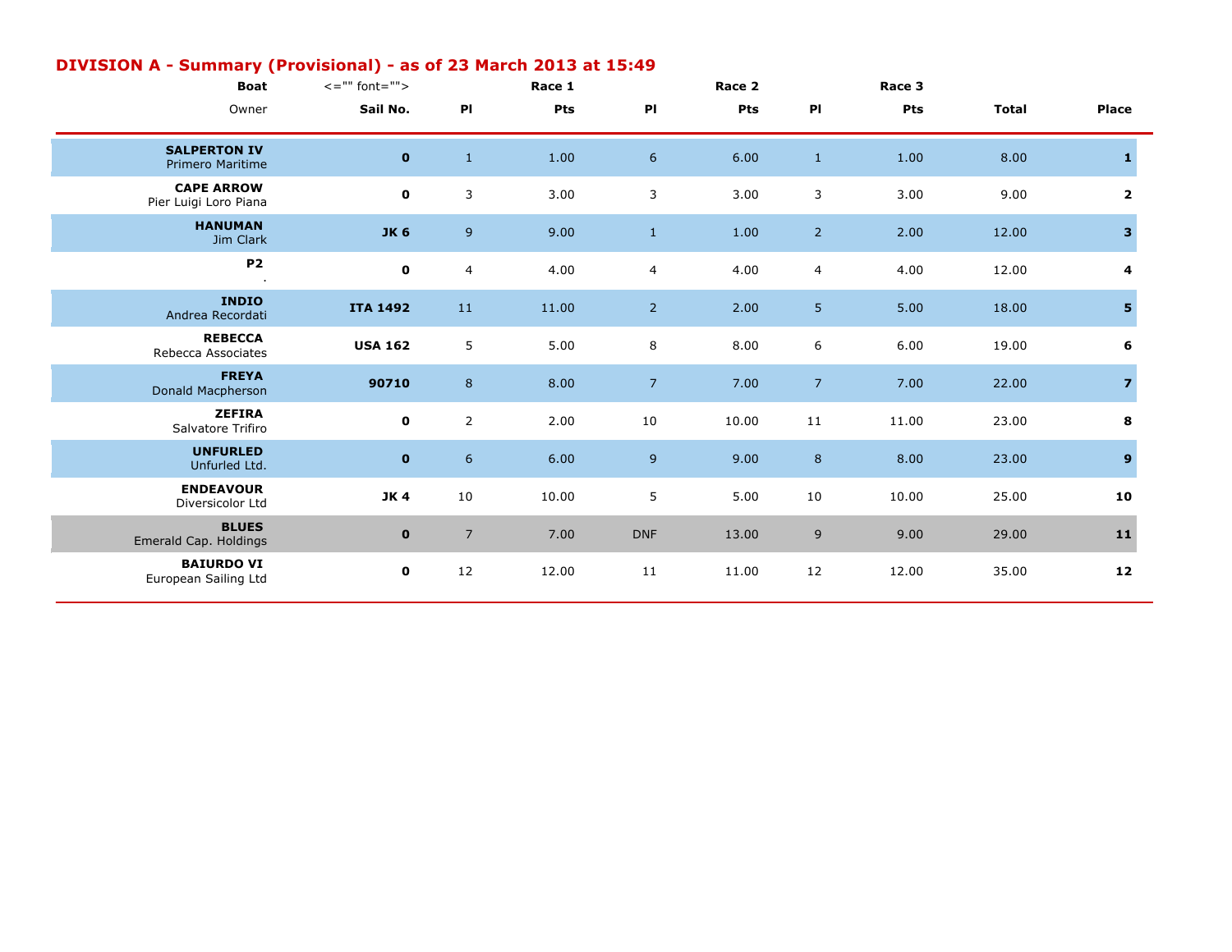| <b>Boat</b>                                    | $\lt =$ "" font=""> |                | Race 1 |                | Race 2 |                | Race 3 |              |                         |
|------------------------------------------------|---------------------|----------------|--------|----------------|--------|----------------|--------|--------------|-------------------------|
| Owner                                          | Sail No.            | P <sub>1</sub> | Pts    | PI             | Pts    | PI             | Pts    | <b>Total</b> | Place                   |
| <b>SALPERTON IV</b><br><b>Primero Maritime</b> | $\mathbf 0$         | $\,1\,$        | 1.00   | $6\,$          | 6.00   | $1\,$          | 1.00   | 8.00         | 1                       |
| <b>CAPE ARROW</b><br>Pier Luigi Loro Piana     | $\mathbf 0$         | 3              | 3.00   | 3              | 3.00   | 3              | 3.00   | 9.00         | $\mathbf{2}$            |
| <b>HANUMAN</b><br>Jim Clark                    | <b>JK 6</b>         | $\mathsf 9$    | 9.00   | $\mathbf{1}$   | 1.00   | 2 <sup>1</sup> | 2.00   | 12.00        | 3 <sup>1</sup>          |
| <b>P2</b>                                      | $\mathbf 0$         | 4              | 4.00   | $\overline{4}$ | 4.00   | $\overline{4}$ | 4.00   | 12.00        | 4                       |
| <b>INDIO</b><br>Andrea Recordati               | <b>ITA 1492</b>     | $11\,$         | 11.00  | $\overline{2}$ | 2.00   | 5              | 5.00   | 18.00        | 5                       |
| <b>REBECCA</b><br>Rebecca Associates           | <b>USA 162</b>      | $\sqrt{5}$     | 5.00   | 8              | 8.00   | 6              | 6.00   | 19.00        | 6                       |
| <b>FREYA</b><br>Donald Macpherson              | 90710               | $\bf 8$        | 8.00   | $\overline{7}$ | 7.00   | 7 <sup>7</sup> | 7.00   | 22.00        | $\overline{\mathbf{z}}$ |
| <b>ZEFIRA</b><br>Salvatore Trifiro             | $\mathbf 0$         | $\overline{2}$ | 2.00   | $10\,$         | 10.00  | $11\,$         | 11.00  | 23.00        | 8                       |
| <b>UNFURLED</b><br>Unfurled Ltd.               | $\mathbf 0$         | $\sqrt{6}$     | 6.00   | 9 <sup>°</sup> | 9.00   | $8\phantom{1}$ | 8.00   | 23.00        | 9 <sup>°</sup>          |
| <b>ENDEAVOUR</b><br>Diversicolor Ltd           | <b>JK4</b>          | 10             | 10.00  | 5              | 5.00   | 10             | 10.00  | 25.00        | 10                      |
| <b>BLUES</b><br>Emerald Cap. Holdings          | $\mathbf 0$         | $\overline{7}$ | 7.00   | <b>DNF</b>     | 13.00  | 9              | 9.00   | 29.00        | $11$                    |
| <b>BAIURDO VI</b><br>European Sailing Ltd      | $\mathbf 0$         | 12             | 12.00  | 11             | 11.00  | 12             | 12.00  | 35.00        | 12                      |

## **DIVISION A - Summary (Provisional) - as of 23 March 2013 at 15:49**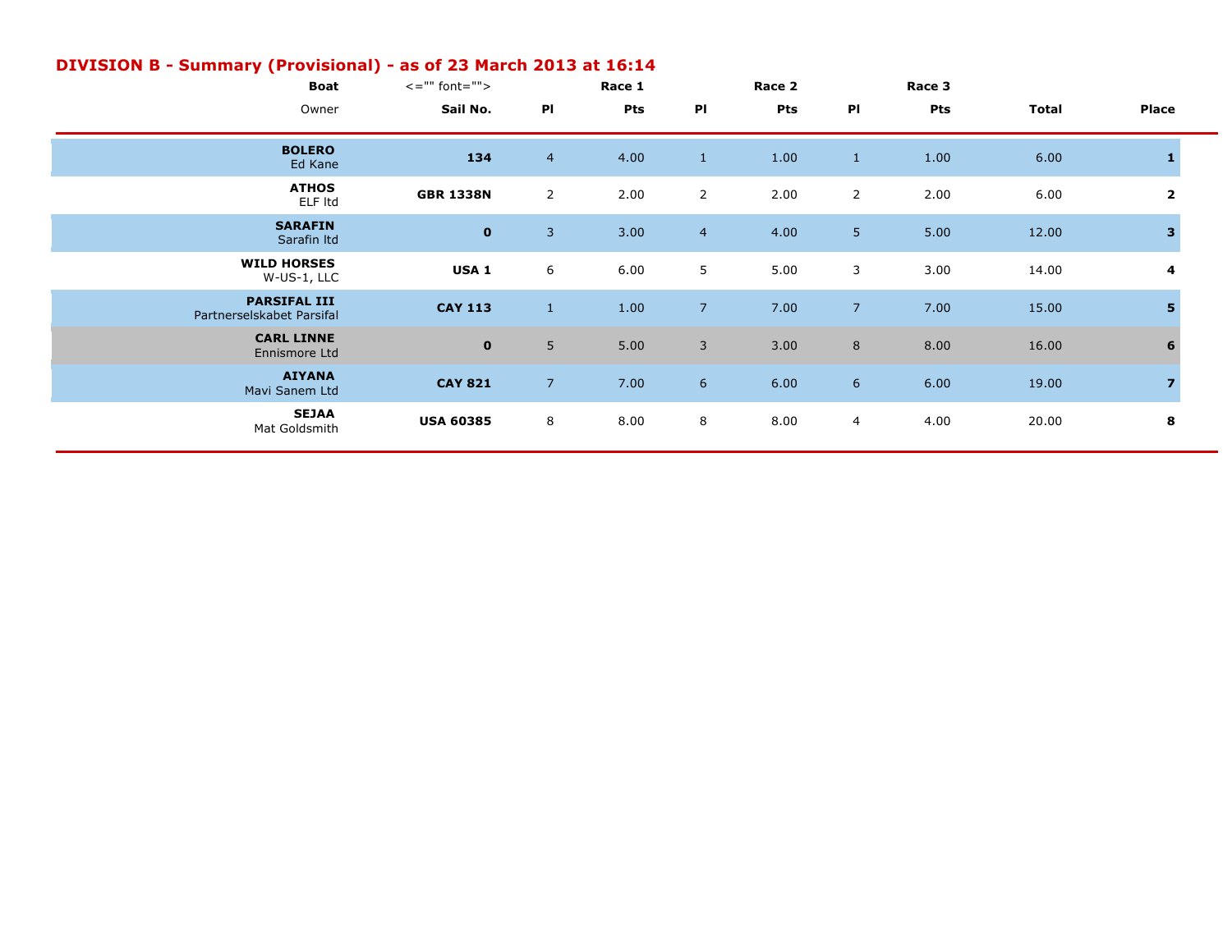| ---- |                                                  |                     |                |        |                |            |                |        |              |                         |  |
|------|--------------------------------------------------|---------------------|----------------|--------|----------------|------------|----------------|--------|--------------|-------------------------|--|
|      | <b>Boat</b>                                      | $\leq$ ="" font=""> |                | Race 1 |                | Race 2     |                | Race 3 |              |                         |  |
|      | Owner                                            | Sail No.            | PI             | Pts    | PI             | <b>Pts</b> | PI             | Pts    | <b>Total</b> | Place                   |  |
|      | <b>BOLERO</b><br>Ed Kane                         | 134                 | $\overline{4}$ | 4.00   | $\mathbf{1}$   | 1.00       | $\mathbf{1}$   | 1.00   | 6.00         |                         |  |
|      | <b>ATHOS</b><br>ELF Itd                          | <b>GBR 1338N</b>    | $\overline{2}$ | 2.00   | $\overline{2}$ | 2.00       | $\overline{2}$ | 2.00   | 6.00         | 2                       |  |
|      | <b>SARAFIN</b><br>Sarafin Itd                    | $\mathbf 0$         | $\overline{3}$ | 3.00   | $\overline{4}$ | 4.00       | 5 <sup>1</sup> | 5.00   | 12.00        | 3                       |  |
|      | <b>WILD HORSES</b><br>W-US-1, LLC                | USA <sub>1</sub>    | 6              | 6.00   | 5              | 5.00       | 3              | 3.00   | 14.00        | 4                       |  |
|      | <b>PARSIFAL III</b><br>Partnerselskabet Parsifal | <b>CAY 113</b>      | $\mathbf{1}$   | 1.00   | 7 <sup>2</sup> | 7.00       | 7 <sup>2</sup> | 7.00   | 15.00        | 5                       |  |
|      | <b>CARL LINNE</b><br>Ennismore Ltd               | $\mathbf 0$         | 5              | 5.00   | 3              | 3.00       | $8\phantom{1}$ | 8.00   | 16.00        | 6                       |  |
|      | <b>AIYANA</b><br>Mavi Sanem Ltd                  | <b>CAY 821</b>      | $\overline{7}$ | 7.00   | 6              | 6.00       | $6^{\circ}$    | 6.00   | 19.00        | $\overline{\mathbf{z}}$ |  |
|      | <b>SEJAA</b><br>Mat Goldsmith                    | <b>USA 60385</b>    | 8              | 8.00   | 8              | 8.00       | $\overline{4}$ | 4.00   | 20.00        | 8                       |  |

## **DIVISION B - Summary (Provisional) - as of 23 March 2013 at 16:14**